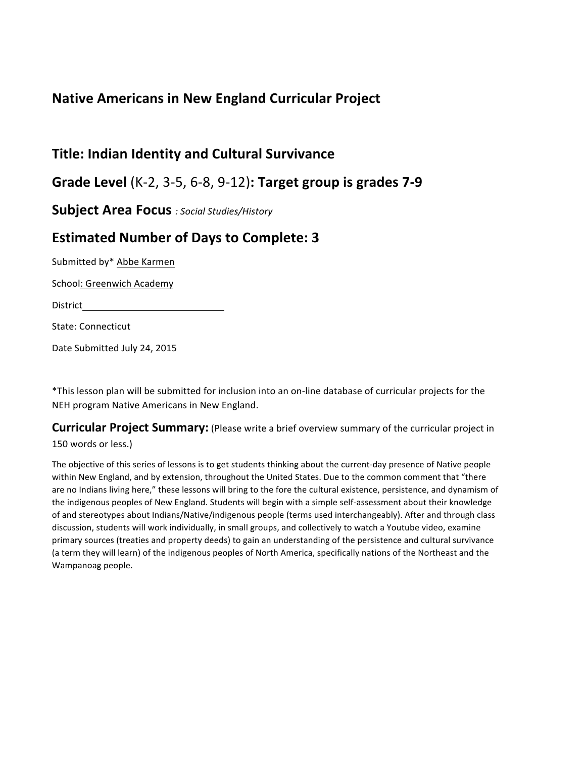## **Native Americans in New England Curricular Project**

## **Title: Indian Identity and Cultural Survivance**

**Grade Level** (K-2, 3-5, 6-8, 9-12)**: Target group is grades 7-9** 

**Subject Area Focus** *: Social Studies/History* 

## **Estimated Number of Days to Complete: 3**

Submitted by\* Abbe Karmen

School: Greenwich Academy

District

State: Connecticut

Date Submitted July 24, 2015

\*This lesson plan will be submitted for inclusion into an on-line database of curricular projects for the NEH program Native Americans in New England.

**Curricular Project Summary:** (Please write a brief overview summary of the curricular project in 150 words or less.)

The objective of this series of lessons is to get students thinking about the current-day presence of Native people within New England, and by extension, throughout the United States. Due to the common comment that "there are no Indians living here," these lessons will bring to the fore the cultural existence, persistence, and dynamism of the indigenous peoples of New England. Students will begin with a simple self-assessment about their knowledge of and stereotypes about Indians/Native/indigenous people (terms used interchangeably). After and through class discussion, students will work individually, in small groups, and collectively to watch a Youtube video, examine primary sources (treaties and property deeds) to gain an understanding of the persistence and cultural survivance (a term they will learn) of the indigenous peoples of North America, specifically nations of the Northeast and the Wampanoag people.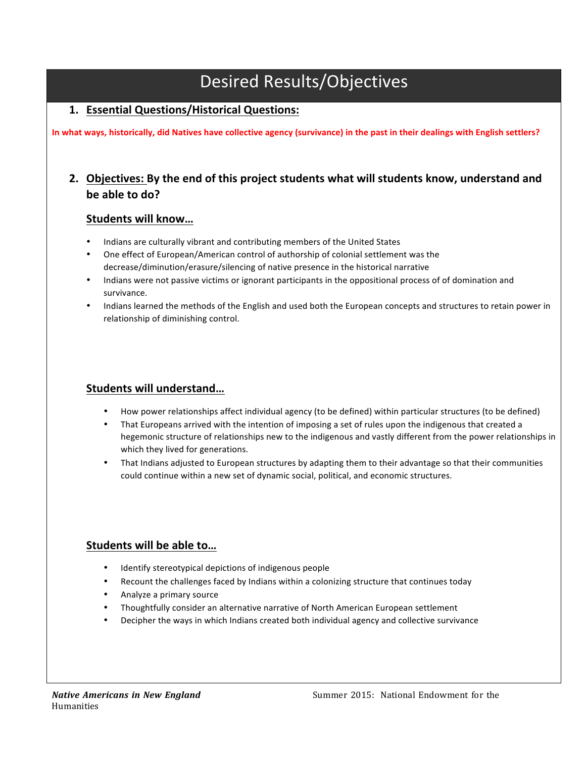# Desired!Results/Objectives

## **1. Essential'Questions/Historical'Questions:'**

In what ways, historically, did Natives have collective agency (survivance) in the past in their dealings with English settlers?

## 2. Objectives: By the end of this project students what will students know, understand and be able to do?

### Students will know...

- Indians are culturally vibrant and contributing members of the United States
- One effect of European/American control of authorship of colonial settlement was the decrease/diminution/erasure/silencing of native presence in the historical narrative
- Indians were not passive victims or ignorant participants in the oppositional process of of domination and survivance.
- Indians learned the methods of the English and used both the European concepts and structures to retain power in relationship of diminishing control.

### **Students'will'understand…**

- How power relationships affect individual agency (to be defined) within particular structures (to be defined)
- That Europeans arrived with the intention of imposing a set of rules upon the indigenous that created a hegemonic structure of relationships new to the indigenous and vastly different from the power relationships in which they lived for generations.
- That Indians adjusted to European structures by adapting them to their advantage so that their communities could continue within a new set of dynamic social, political, and economic structures.

### Students will be able to...

- Identify stereotypical depictions of indigenous people
- Recount the challenges faced by Indians within a colonizing structure that continues today
- Analyze a primary source
- Thoughtfully consider an alternative narrative of North American European settlement
- Decipher the ways in which Indians created both individual agency and collective survivance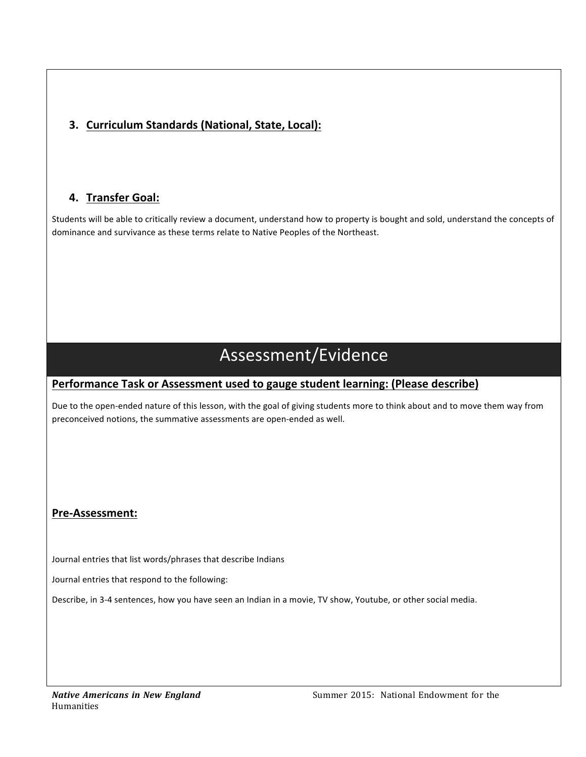## **3. Curriculum Standards (National, State, Local):**

## **4. Transfer'Goal:'**

Students will be able to critically review a document, understand how to property is bought and sold, understand the concepts of dominance and survivance as these terms relate to Native Peoples of the Northeast.

# Assessment/Evidence

## Performance Task or Assessment used to gauge student learning: (Please describe)

Due to the open-ended nature of this lesson, with the goal of giving students more to think about and to move them way from preconceived notions, the summative assessments are open-ended as well.

## Pre-Assessment:

Journal entries that list words/phrases that describe Indians

Journal entries that respond to the following:

Describe, in 3-4 sentences, how you have seen an Indian in a movie, TV show, Youtube, or other social media.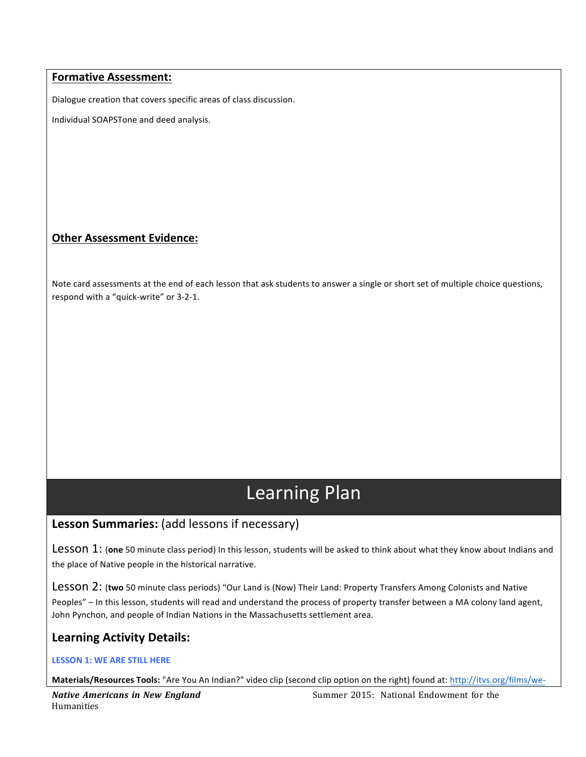#### **Formative Assessment:**

Dialogue creation that covers specific areas of class discussion.

Individual SOAPSTone and deed analysis.

### **Other Assessment Evidence:**

Note card assessments at the end of each lesson that ask students to answer a single or short set of multiple choice questions, respond with a "quick-write" or 3-2-1.

# Learning Plan

## Lesson Summaries: (add lessons if necessary)

Lesson 1: (one 50 minute class period) In this lesson, students will be asked to think about what they know about Indians and the place of Native people in the historical narrative.

Lesson 2: (two 50 minute class periods) "Our Land is (Now) Their Land: Property Transfers Among Colonists and Native Peoples" – In this lesson, students will read and understand the process of property transfer between a MA colony land agent, John Pynchon, and people of Indian Nations in the Massachusetts settlement area.

## Learning Activity Details:

#### LESSON 1: WE ARE STILL HERE

Materials/Resources Tools: "Are You An Indian?" video clip (second clip option on the right) found at: http://itvs.org/films/we-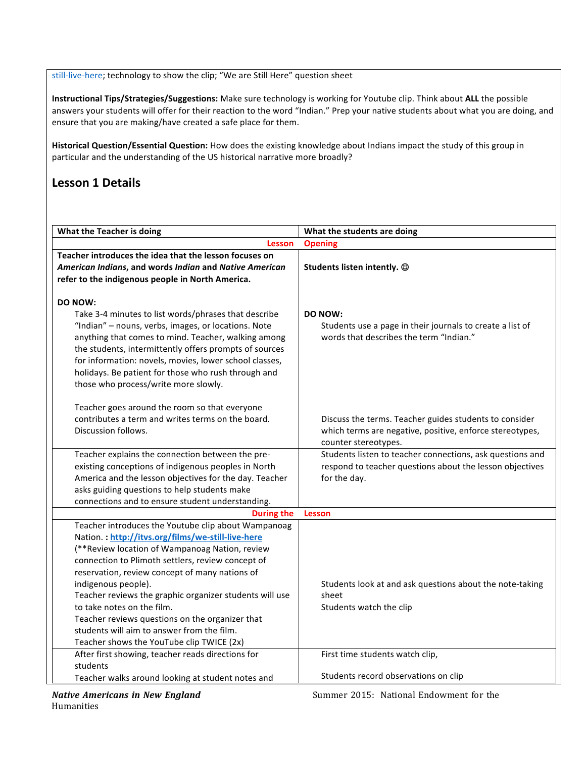still-live-here; technology to show the clip; "We are Still Here" question sheet

Instructional Tips/Strategies/Suggestions: Make sure technology is working for Youtube clip. Think about ALL the possible answers your students will offer for their reaction to the word "Indian." Prep your native students about what you are doing, and ensure that you are making/have created a safe place for them.

Historical Question/Essential Question: How does the existing knowledge about Indians impact the study of this group in particular and the understanding of the US historical narrative more broadly?

## **Lesson 1 Details**

| What the Teacher is doing                               | What the students are doing                               |
|---------------------------------------------------------|-----------------------------------------------------------|
| <b>Lesson</b>                                           | <b>Opening</b>                                            |
| Teacher introduces the idea that the lesson focuses on  |                                                           |
| American Indians, and words Indian and Native American  | Students listen intently. $\circledcirc$                  |
| refer to the indigenous people in North America.        |                                                           |
|                                                         |                                                           |
| DO NOW:                                                 |                                                           |
| Take 3-4 minutes to list words/phrases that describe    | <b>DO NOW:</b>                                            |
| "Indian" - nouns, verbs, images, or locations. Note     | Students use a page in their journals to create a list of |
| anything that comes to mind. Teacher, walking among     | words that describes the term "Indian."                   |
| the students, intermittently offers prompts of sources  |                                                           |
| for information: novels, movies, lower school classes,  |                                                           |
| holidays. Be patient for those who rush through and     |                                                           |
| those who process/write more slowly.                    |                                                           |
|                                                         |                                                           |
| Teacher goes around the room so that everyone           |                                                           |
| contributes a term and writes terms on the board.       | Discuss the terms. Teacher guides students to consider    |
| Discussion follows.                                     | which terms are negative, positive, enforce stereotypes,  |
|                                                         | counter stereotypes.                                      |
| Teacher explains the connection between the pre-        | Students listen to teacher connections, ask questions and |
| existing conceptions of indigenous peoples in North     | respond to teacher questions about the lesson objectives  |
| America and the lesson objectives for the day. Teacher  | for the day.                                              |
| asks guiding questions to help students make            |                                                           |
| connections and to ensure student understanding.        |                                                           |
| <b>During the</b>                                       | <b>Lesson</b>                                             |
| Teacher introduces the Youtube clip about Wampanoag     |                                                           |
| Nation : http://itvs.org/films/we-still-live-here       |                                                           |
| (**Review location of Wampanoag Nation, review          |                                                           |
| connection to Plimoth settlers, review concept of       |                                                           |
| reservation, review concept of many nations of          |                                                           |
| indigenous people).                                     | Students look at and ask questions about the note-taking  |
| Teacher reviews the graphic organizer students will use | sheet                                                     |
| to take notes on the film.                              | Students watch the clip                                   |
| Teacher reviews questions on the organizer that         |                                                           |
| students will aim to answer from the film.              |                                                           |
| Teacher shows the YouTube clip TWICE (2x)               |                                                           |
| After first showing, teacher reads directions for       | First time students watch clip,                           |
| students                                                |                                                           |
| Teacher walks around looking at student notes and       | Students record observations on clip                      |

*Native Americans in New England* Summer 2015: National Endowment for the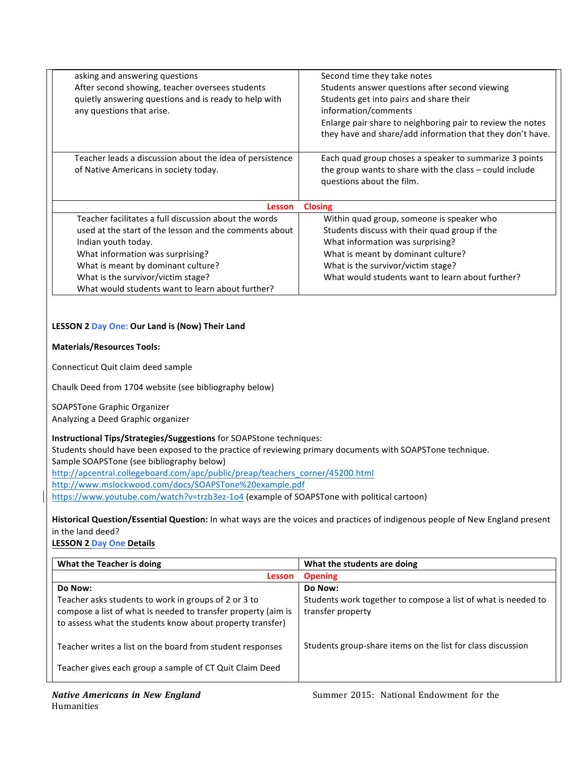| asking and answering questions<br>After second showing, teacher oversees students<br>quietly answering questions and is ready to help with<br>any questions that arise.                                                                                                                                    | Second time they take notes<br>Students answer questions after second viewing<br>Students get into pairs and share their<br>information/comments<br>Enlarge pair share to neighboring pair to review the notes<br>they have and share/add information that they don't have. |  |
|------------------------------------------------------------------------------------------------------------------------------------------------------------------------------------------------------------------------------------------------------------------------------------------------------------|-----------------------------------------------------------------------------------------------------------------------------------------------------------------------------------------------------------------------------------------------------------------------------|--|
| Teacher leads a discussion about the idea of persistence<br>of Native Americans in society today.                                                                                                                                                                                                          | Each quad group choses a speaker to summarize 3 points<br>the group wants to share with the class – could include<br>questions about the film.                                                                                                                              |  |
| <b>Closing</b><br>Lesson                                                                                                                                                                                                                                                                                   |                                                                                                                                                                                                                                                                             |  |
| Teacher facilitates a full discussion about the words<br>used at the start of the lesson and the comments about<br>Indian youth today.<br>What information was surprising?<br>What is meant by dominant culture?<br>What is the survivor/victim stage?<br>What would students want to learn about further? | Within quad group, someone is speaker who<br>Students discuss with their quad group if the<br>What information was surprising?<br>What is meant by dominant culture?<br>What is the survivor/victim stage?<br>What would students want to learn about further?              |  |

#### LESSON 2 Day One: Our Land is (Now) Their Land

#### **Materials/Resources Tools:**

Connecticut Quit claim deed sample

Chaulk Deed from 1704 website (see bibliography below)

SOAPSTone Graphic Organizer

Analyzing a Deed Graphic organizer

#### **Instructional Tips/Strategies/Suggestions** for SOAPStone techniques:

Students should have been exposed to the practice of reviewing primary documents with SOAPSTone technique. Sample SOAPSTone (see bibliography below) http://apcentral.collegeboard.com/apc/public/preap/teachers\_corner/45200.html

http://www.mslockwood.com/docs/SOAPSTone%20example.pdf

https://www.youtube.com/watch?v=trzb3ez-1o4 (example of SOAPSTone with political cartoon)

Historical Question/Essential Question: In what ways are the voices and practices of indigenous people of New England present in the land deed?

LESSON 2 Day One Details

| What the Teacher is doing                                                                                                                                                          | What the students are doing                                                        |
|------------------------------------------------------------------------------------------------------------------------------------------------------------------------------------|------------------------------------------------------------------------------------|
| <b>Lesson</b>                                                                                                                                                                      | <b>Opening</b>                                                                     |
| Do Now:                                                                                                                                                                            | Do Now:                                                                            |
| Teacher asks students to work in groups of 2 or 3 to<br>compose a list of what is needed to transfer property (aim is<br>to assess what the students know about property transfer) | Students work together to compose a list of what is needed to<br>transfer property |
| Teacher writes a list on the board from student responses<br>Teacher gives each group a sample of CT Quit Claim Deed                                                               | Students group-share items on the list for class discussion                        |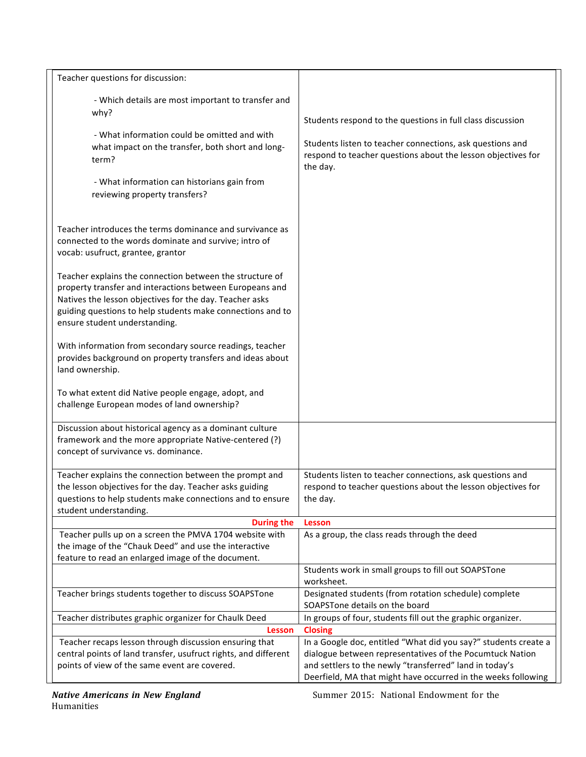| Teacher questions for discussion:                                                                                                                                                                                                                                              |                                                                                                                                                                                                     |
|--------------------------------------------------------------------------------------------------------------------------------------------------------------------------------------------------------------------------------------------------------------------------------|-----------------------------------------------------------------------------------------------------------------------------------------------------------------------------------------------------|
| - Which details are most important to transfer and<br>why?<br>- What information could be omitted and with<br>what impact on the transfer, both short and long-<br>term?<br>- What information can historians gain from<br>reviewing property transfers?                       | Students respond to the questions in full class discussion<br>Students listen to teacher connections, ask questions and<br>respond to teacher questions about the lesson objectives for<br>the day. |
| Teacher introduces the terms dominance and survivance as<br>connected to the words dominate and survive; intro of<br>vocab: usufruct, grantee, grantor                                                                                                                         |                                                                                                                                                                                                     |
| Teacher explains the connection between the structure of<br>property transfer and interactions between Europeans and<br>Natives the lesson objectives for the day. Teacher asks<br>guiding questions to help students make connections and to<br>ensure student understanding. |                                                                                                                                                                                                     |
| With information from secondary source readings, teacher<br>provides background on property transfers and ideas about<br>land ownership.                                                                                                                                       |                                                                                                                                                                                                     |
| To what extent did Native people engage, adopt, and<br>challenge European modes of land ownership?                                                                                                                                                                             |                                                                                                                                                                                                     |
| Discussion about historical agency as a dominant culture<br>framework and the more appropriate Native-centered (?)<br>concept of survivance vs. dominance.                                                                                                                     |                                                                                                                                                                                                     |
| Teacher explains the connection between the prompt and<br>the lesson objectives for the day. Teacher asks guiding<br>questions to help students make connections and to ensure<br>student understanding.                                                                       | Students listen to teacher connections, ask questions and<br>respond to teacher questions about the lesson objectives for<br>the day.                                                               |
| <b>During the</b>                                                                                                                                                                                                                                                              | Lesson                                                                                                                                                                                              |
| Teacher pulls up on a screen the PMVA 1704 website with<br>the image of the "Chauk Deed" and use the interactive<br>feature to read an enlarged image of the document.                                                                                                         | As a group, the class reads through the deed                                                                                                                                                        |
|                                                                                                                                                                                                                                                                                | Students work in small groups to fill out SOAPSTone                                                                                                                                                 |
| Teacher brings students together to discuss SOAPSTone                                                                                                                                                                                                                          | worksheet.<br>Designated students (from rotation schedule) complete                                                                                                                                 |
|                                                                                                                                                                                                                                                                                | SOAPSTone details on the board                                                                                                                                                                      |
| Teacher distributes graphic organizer for Chaulk Deed                                                                                                                                                                                                                          | In groups of four, students fill out the graphic organizer.                                                                                                                                         |
| Lesson                                                                                                                                                                                                                                                                         | <b>Closing</b>                                                                                                                                                                                      |
| Teacher recaps lesson through discussion ensuring that                                                                                                                                                                                                                         | In a Google doc, entitled "What did you say?" students create a                                                                                                                                     |
| central points of land transfer, usufruct rights, and different                                                                                                                                                                                                                | dialogue between representatives of the Pocumtuck Nation                                                                                                                                            |
| points of view of the same event are covered.                                                                                                                                                                                                                                  | and settlers to the newly "transferred" land in today's<br>Deerfield, MA that might have occurred in the weeks following                                                                            |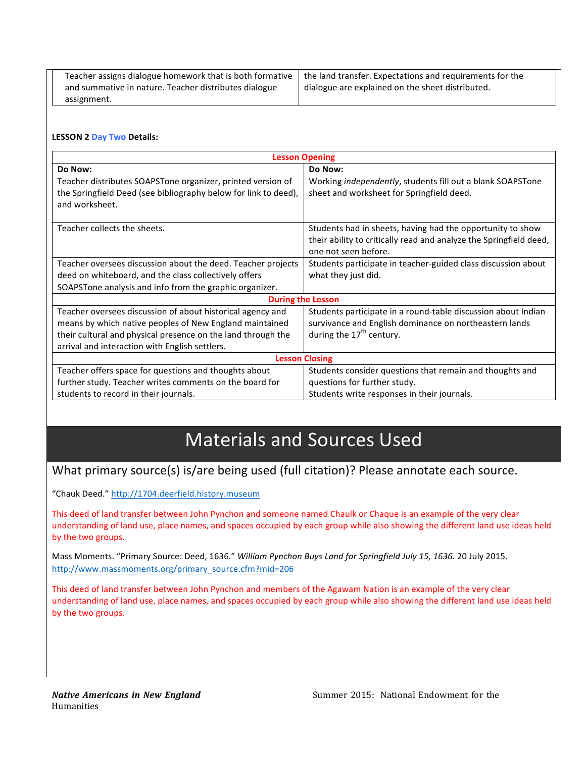| Teacher assigns dialogue homework that is both formative   the land transfer. Expectations and requirements for the |                                                  |
|---------------------------------------------------------------------------------------------------------------------|--------------------------------------------------|
| and summative in nature. Teacher distributes dialogue                                                               | dialogue are explained on the sheet distributed. |
| assignment.                                                                                                         |                                                  |

#### LESSON 2 Day Two Details:

| <b>Lesson Opening</b>                                                             |                                                                    |  |
|-----------------------------------------------------------------------------------|--------------------------------------------------------------------|--|
| Do Now:                                                                           | Do Now:                                                            |  |
| Teacher distributes SOAPSTone organizer, printed version of                       | Working independently, students fill out a blank SOAPSTone         |  |
| the Springfield Deed (see bibliography below for link to deed),<br>and worksheet. | sheet and worksheet for Springfield deed.                          |  |
|                                                                                   |                                                                    |  |
| Teacher collects the sheets.                                                      | Students had in sheets, having had the opportunity to show         |  |
|                                                                                   | their ability to critically read and analyze the Springfield deed, |  |
|                                                                                   | one not seen before.                                               |  |
| Teacher oversees discussion about the deed. Teacher projects                      | Students participate in teacher-guided class discussion about      |  |
| deed on whiteboard, and the class collectively offers                             | what they just did.                                                |  |
| SOAPSTone analysis and info from the graphic organizer.                           |                                                                    |  |
| <b>During the Lesson</b>                                                          |                                                                    |  |
| Teacher oversees discussion of about historical agency and                        | Students participate in a round-table discussion about Indian      |  |
| means by which native peoples of New England maintained                           | survivance and English dominance on northeastern lands             |  |
| their cultural and physical presence on the land through the                      | during the $17th$ century.                                         |  |
| arrival and interaction with English settlers.                                    |                                                                    |  |
| <b>Lesson Closing</b>                                                             |                                                                    |  |
| Teacher offers space for questions and thoughts about                             | Students consider questions that remain and thoughts and           |  |
| further study. Teacher writes comments on the board for                           | questions for further study.                                       |  |
| students to record in their journals.                                             | Students write responses in their journals.                        |  |

# **Materials and Sources Used**

## What primary source(s) is/are being used (full citation)? Please annotate each source.

"Chauk Deed." http://1704.deerfield.history.museum

This deed of land transfer between John Pynchon and someone named Chaulk or Chaque is an example of the very clear understanding of land use, place names, and spaces occupied by each group while also showing the different land use ideas held by the two groups.

Mass Moments. "Primary Source: Deed, 1636." *William Pynchon Buys Land for Springfield July 15, 1636.* 20 July 2015. http://www.massmoments.org/primary\_source.cfm?mid=206

This deed of land transfer between John Pynchon and members of the Agawam Nation is an example of the very clear understanding of land use, place names, and spaces occupied by each group while also showing the different land use ideas held by the two groups.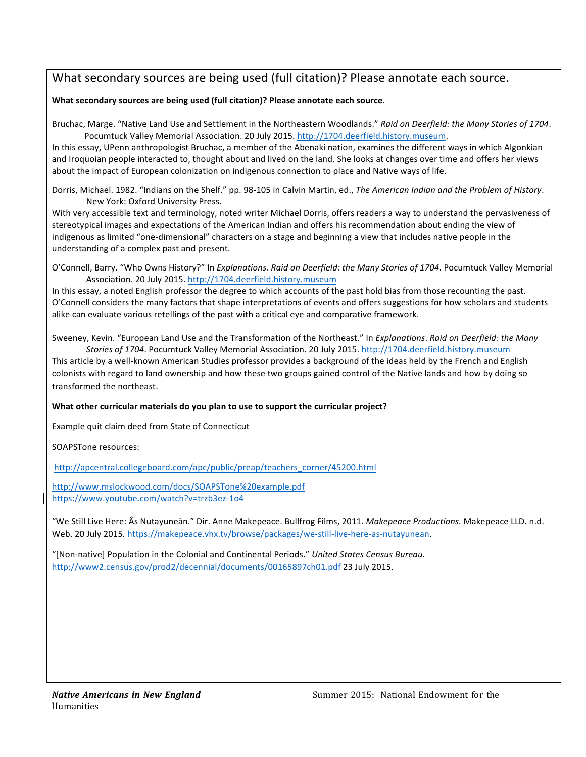## What secondary sources are being used (full citation)? Please annotate each source.

#### **What'secondary'sources'are'being'used'(full'citation)?'Please'annotate'each'source**.

Bruchac, Marge. "Native Land Use and Settlement in the Northeastern Woodlands." *Raid on Deerfield: the Many Stories of 1704*. Pocumtuck Valley Memorial Association. 20 July 2015. http://1704.deerfield.history.museum.

In this essay, UPenn anthropologist Bruchac, a member of the Abenaki nation, examines the different ways in which Algonkian and Iroquoian people interacted to, thought about and lived on the land. She looks at changes over time and offers her views about the impact of European colonization on indigenous connection to place and Native ways of life.

Dorris, Michael. 1982. "Indians on the Shelf." pp. 98-105 in Calvin Martin, ed., *The American Indian and the Problem of History*. New York: Oxford University Press.

With very accessible text and terminology, noted writer Michael Dorris, offers readers a way to understand the pervasiveness of stereotypical images and expectations of the American Indian and offers his recommendation about ending the view of indigenous as limited "one-dimensional" characters on a stage and beginning a view that includes native people in the understanding of a complex past and present.

O'Connell, Barry. "Who Owns History?" In *Explanations. Raid on Deerfield: the Many Stories of 1704*. Pocumtuck Valley Memorial Association. 20 July 2015. http://1704.deerfield.history.museum

In this essay, a noted English professor the degree to which accounts of the past hold bias from those recounting the past. O'Connell considers the many factors that shape interpretations of events and offers suggestions for how scholars and students alike can evaluate various retellings of the past with a critical eye and comparative framework.

Sweeney, Kevin. "European Land Use and the Transformation of the Northeast." In *Explanations*. *Raid on Deerfield: the Many* Stories of 1704. Pocumtuck Valley Memorial Association. 20 July 2015. http://1704.deerfield.history.museum

This article by a well-known American Studies professor provides a background of the ideas held by the French and English colonists with regard to land ownership and how these two groups gained control of the Native lands and how by doing so transformed the northeast.

#### What other curricular materials do you plan to use to support the curricular project?

Example quit claim deed from State of Connecticut

SOAPSTone resources:

http://apcentral.collegeboard.com/apc/public/preap/teachers\_corner/45200.html

http://www.mslockwood.com/docs/SOAPSTone%20example.pdf https://www.youtube.com/watch?v=trzb3ez-1o4

"We Still Live Here: Âs Nutayuneân." Dir. Anne Makepeace. Bullfrog Films, 2011. *Makepeace Productions.* Makepeace LLD. n.d. Web. 20 July 2015. https://makepeace.vhx.tv/browse/packages/we-still-live-here-as-nutayunean.

"[Non-native] Population in the Colonial and Continental Periods." United States Census Bureau. http://www2.census.gov/prod2/decennial/documents/00165897ch01.pdf 23 July 2015.